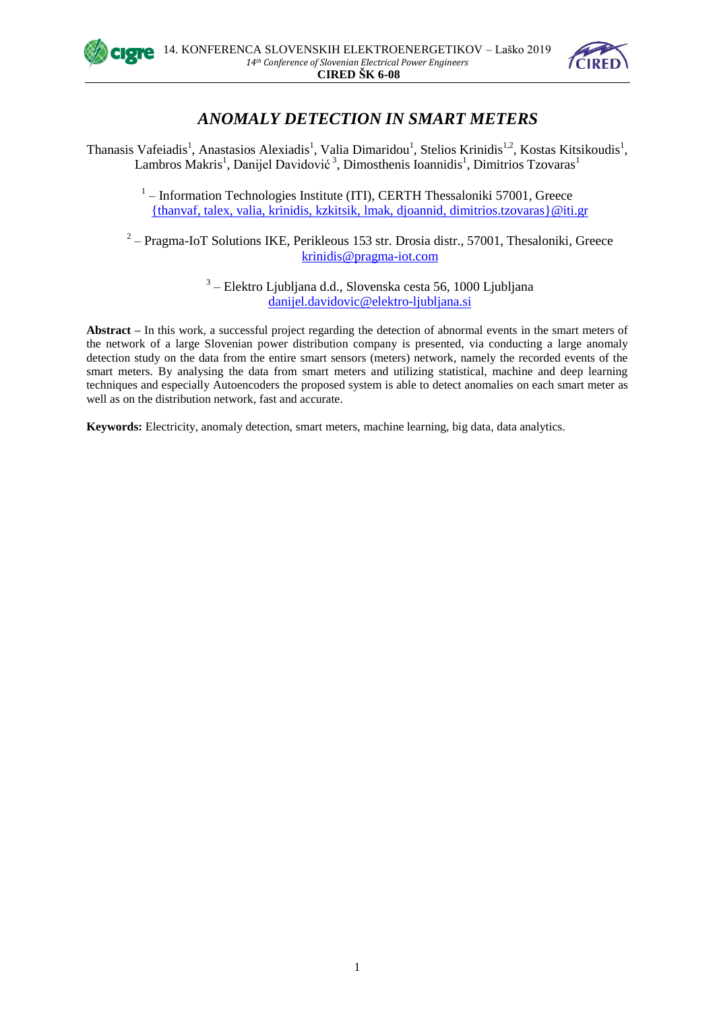



# *ANOMALY DETECTION IN SMART METERS*

Thanasis Vafeiadis<sup>1</sup>, Anastasios Alexiadis<sup>1</sup>, Valia Dimaridou<sup>1</sup>, Stelios Krinidis<sup>1,2</sup>, Kostas Kitsikoudis<sup>1</sup>, Lambros Makris<sup>1</sup>, Danijel Davidović<sup>3</sup>, Dimosthenis Ioannidis<sup>1</sup>, Dimitrios Tzovaras<sup>1</sup>

> <sup>1</sup> - Information Technologies Institute (ITI), CERTH Thessaloniki 57001, Greece [{thanvaf,](mailto:thanvaf) [talex, valia,](mailto:talex,) [krinidis, kzkitsik,](mailto:krinidis,) [lmak, djoannid,](mailto:lmak,) [dimitrios.tzovaras}@iti.gr](mailto:dimitrios.tzovaras%7d@iti.gr)

 $2$  – Pragma-IoT Solutions IKE, Perikleous 153 str. Drosia distr., 57001, Thesaloniki, Greece [krinidis@pragma-iot.com](mailto:krinidis)

> <sup>3</sup> – Elektro Ljubljana d.d., Slovenska cesta 56, 1000 Ljubljana [danijel.davidovic@elektro-ljubljana.si](mailto:danijel.davidovic@elektro-ljubljana.si)

**Abstract –** In this work, a successful project regarding the detection of abnormal events in the smart meters of the network of a large Slovenian power distribution company is presented, via conducting a large anomaly detection study on the data from the entire smart sensors (meters) network, namely the recorded events of the smart meters. By analysing the data from smart meters and utilizing statistical, machine and deep learning techniques and especially Autoencoders the proposed system is able to detect anomalies on each smart meter as well as on the distribution network, fast and accurate.

**Keywords:** Electricity, anomaly detection, smart meters, machine learning, big data, data analytics.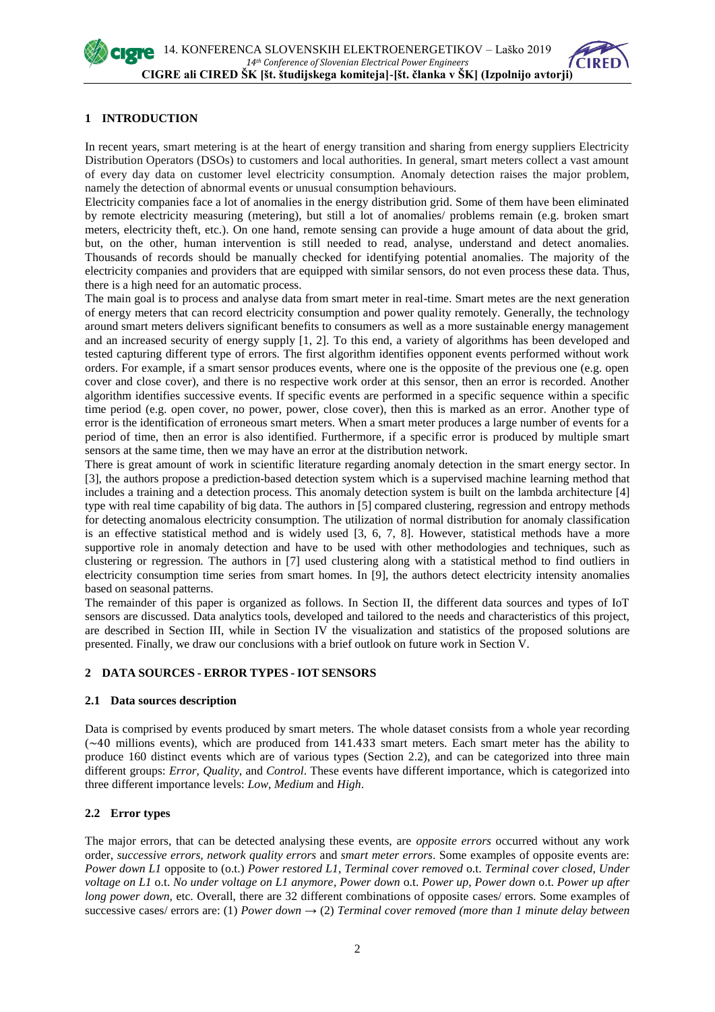

## **1 INTRODUCTION**

In recent years, smart metering is at the heart of energy transition and sharing from energy suppliers Electricity Distribution Operators (DSOs) to customers and local authorities. In general, smart meters collect a vast amount of every day data on customer level electricity consumption. Anomaly detection raises the major problem, namely the detection of abnormal events or unusual consumption behaviours.

Electricity companies face a lot of anomalies in the energy distribution grid. Some of them have been eliminated by remote electricity measuring (metering), but still a lot of anomalies/ problems remain (e.g. broken smart meters, electricity theft, etc.). On one hand, remote sensing can provide a huge amount of data about the grid, but, on the other, human intervention is still needed to read, analyse, understand and detect anomalies. Thousands of records should be manually checked for identifying potential anomalies. The majority of the electricity companies and providers that are equipped with similar sensors, do not even process these data. Thus, there is a high need for an automatic process.

The main goal is to process and analyse data from smart meter in real-time. Smart metes are the next generation of energy meters that can record electricity consumption and power quality remotely. Generally, the technology around smart meters delivers significant benefits to consumers as well as a more sustainable energy management and an increased security of energy supply [1, 2]. To this end, a variety of algorithms has been developed and tested capturing different type of errors. The first algorithm identifies opponent events performed without work orders. For example, if a smart sensor produces events, where one is the opposite of the previous one (e.g. open cover and close cover), and there is no respective work order at this sensor, then an error is recorded. Another algorithm identifies successive events. If specific events are performed in a specific sequence within a specific time period (e.g. open cover, no power, power, close cover), then this is marked as an error. Another type of error is the identification of erroneous smart meters. When a smart meter produces a large number of events for a period of time, then an error is also identified. Furthermore, if a specific error is produced by multiple smart sensors at the same time, then we may have an error at the distribution network.

There is great amount of work in scientific literature regarding anomaly detection in the smart energy sector. In [3], the authors propose a prediction-based detection system which is a supervised machine learning method that includes a training and a detection process. This anomaly detection system is built on the lambda architecture [4] type with real time capability of big data. The authors in [5] compared clustering, regression and entropy methods for detecting anomalous electricity consumption. The utilization of normal distribution for anomaly classification is an effective statistical method and is widely used [3, 6, 7, 8]. However, statistical methods have a more supportive role in anomaly detection and have to be used with other methodologies and techniques, such as clustering or regression. The authors in [7] used clustering along with a statistical method to find outliers in electricity consumption time series from smart homes. In [9], the authors detect electricity intensity anomalies based on seasonal patterns.

The remainder of this paper is organized as follows. In Section II, the different data sources and types of IoT sensors are discussed. Data analytics tools, developed and tailored to the needs and characteristics of this project, are described in Section III, while in Section IV the visualization and statistics of the proposed solutions are presented. Finally, we draw our conclusions with a brief outlook on future work in Section V.

# **2 DATA SOURCES - ERROR TYPES - IOT SENSORS**

## **2.1 Data sources description**

Data is comprised by events produced by smart meters. The whole dataset consists from a whole year recording  $(\sim 40$  millions events), which are produced from 141.433 smart meters. Each smart meter has the ability to produce 160 distinct events which are of various types (Section 2.2), and can be categorized into three main different groups: *Error*, *Quality*, and *Control*. These events have different importance, which is categorized into three different importance levels: *Low*, *Medium* and *High*.

## **2.2 Error types**

The major errors, that can be detected analysing these events, are *opposite errors* occurred without any work order, *successive errors, network quality errors* and *smart meter errors*. Some examples of opposite events are: *Power down L1* opposite to (o.t.) *Power restored L1*, *Terminal cover removed* o.t. *Terminal cover closed*, *Under voltage on L1* o.t. *No under voltage on L1 anymore*, *Power down* o.t. *Power up*, *Power down* o.t. *Power up after long power down,* etc. Overall, there are 32 different combinations of opposite cases/ errors. Some examples of successive cases/ errors are: (1) *Power down*  $\rightarrow$  (2) *Terminal cover removed (more than 1 minute delay between*)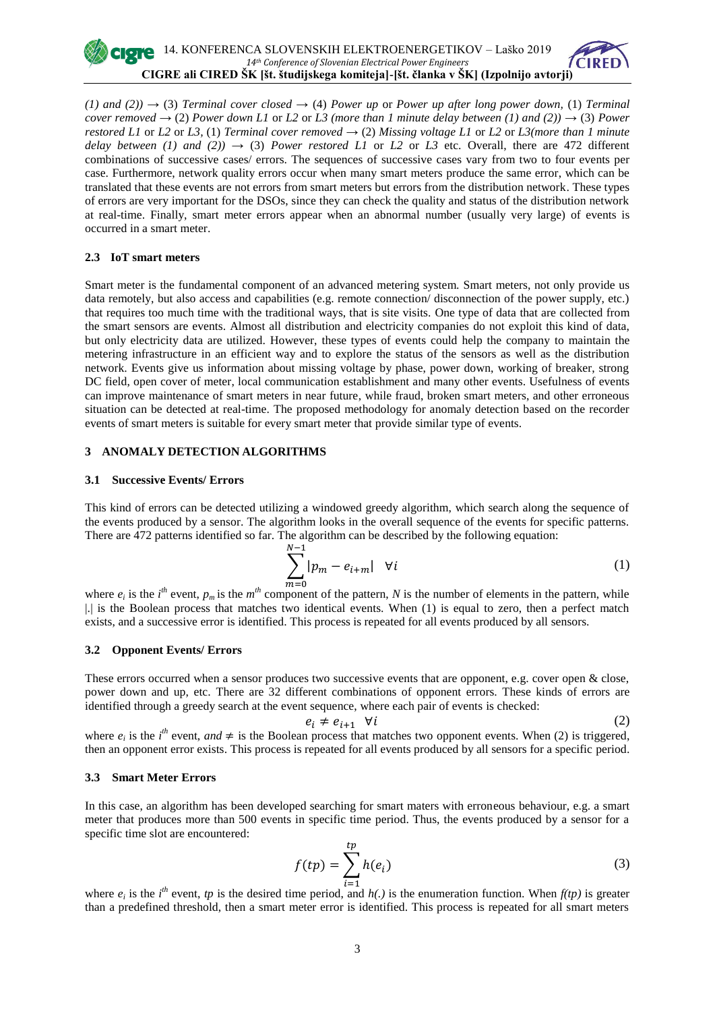$(1)$  and  $(2)$   $\rightarrow$  (3) *Terminal cover closed*  $\rightarrow$  (4) *Power up or Power up after long power down,* (1) *Terminal cover removed*  $\rightarrow$  (2) *Power down L1* or *L2* or *L3* (more than 1 minute delay between (1) and (2))  $\rightarrow$  (3) *Power restored L1* or *L2* or *L3*, (1) *Terminal cover removed*  $\rightarrow$  (2) *Missing voltage L1* or *L2* or *L3(more than 1 minute delay between (1) and (2))*  $\rightarrow$  *(3) <i>Power restored L1* or *L2* or *L3* etc. Overall, there are 472 different combinations of successive cases/ errors. The sequences of successive cases vary from two to four events per case. Furthermore, network quality errors occur when many smart meters produce the same error, which can be translated that these events are not errors from smart meters but errors from the distribution network. These types of errors are very important for the DSOs, since they can check the quality and status of the distribution network at real-time. Finally, smart meter errors appear when an abnormal number (usually very large) of events is occurred in a smart meter.

#### **2.3 IoT smart meters**

Smart meter is the fundamental component of an advanced metering system. Smart meters, not only provide us data remotely, but also access and capabilities (e.g. remote connection/ disconnection of the power supply, etc.) that requires too much time with the traditional ways, that is site visits. One type of data that are collected from the smart sensors are events. Almost all distribution and electricity companies do not exploit this kind of data, but only electricity data are utilized. However, these types of events could help the company to maintain the metering infrastructure in an efficient way and to explore the status of the sensors as well as the distribution network. Events give us information about missing voltage by phase, power down, working of breaker, strong DC field, open cover of meter, local communication establishment and many other events. Usefulness of events can improve maintenance of smart meters in near future, while fraud, broken smart meters, and other erroneous situation can be detected at real-time. The proposed methodology for anomaly detection based on the recorder events of smart meters is suitable for every smart meter that provide similar type of events.

## **3 ANOMALY DETECTION ALGORITHMS**

#### **3.1 Successive Events/ Errors**

This kind of errors can be detected utilizing a windowed greedy algorithm, which search along the sequence of the events produced by a sensor. The algorithm looks in the overall sequence of the events for specific patterns. There are 472 patterns identified so far. The algorithm can be described by the following equation:

$$
\sum_{m=0}^{N-1} |p_m - e_{i+m}| \quad \forall i \tag{1}
$$

where  $e_i$  is the *i*<sup>th</sup> event,  $p_m$  is the  $m$ <sup>th</sup> component of the pattern, *N* is the number of elements in the pattern, while |.| is the Boolean process that matches two identical events. When (1) is equal to zero, then a perfect match exists, and a successive error is identified. This process is repeated for all events produced by all sensors.

## **3.2 Opponent Events/ Errors**

These errors occurred when a sensor produces two successive events that are opponent, e.g. cover open & close, power down and up, etc. There are 32 different combinations of opponent errors. These kinds of errors are identified through a greedy search at the event sequence, where each pair of events is checked:

$$
e_i \neq e_{i+1} \quad \forall i \tag{2}
$$

where  $e_i$  is the *i*<sup>th</sup> event, and  $\neq$  is the Boolean process that matches two opponent events. When (2) is triggered, then an opponent error exists. This process is repeated for all events produced by all sensors for a specific period.

#### **3.3 Smart Meter Errors**

In this case, an algorithm has been developed searching for smart maters with erroneous behaviour, e.g. a smart meter that produces more than 500 events in specific time period. Thus, the events produced by a sensor for a specific time slot are encountered:

$$
f(tp) = \sum_{i=1}^{tp} h(e_i)
$$
 (3)

where  $e_i$  is the *i*<sup>th</sup> event, *tp* is the desired time period, and *h(.)* is the enumeration function. When  $f(tp)$  is greater than a predefined threshold, then a smart meter error is identified. This process is repeated for all smart meters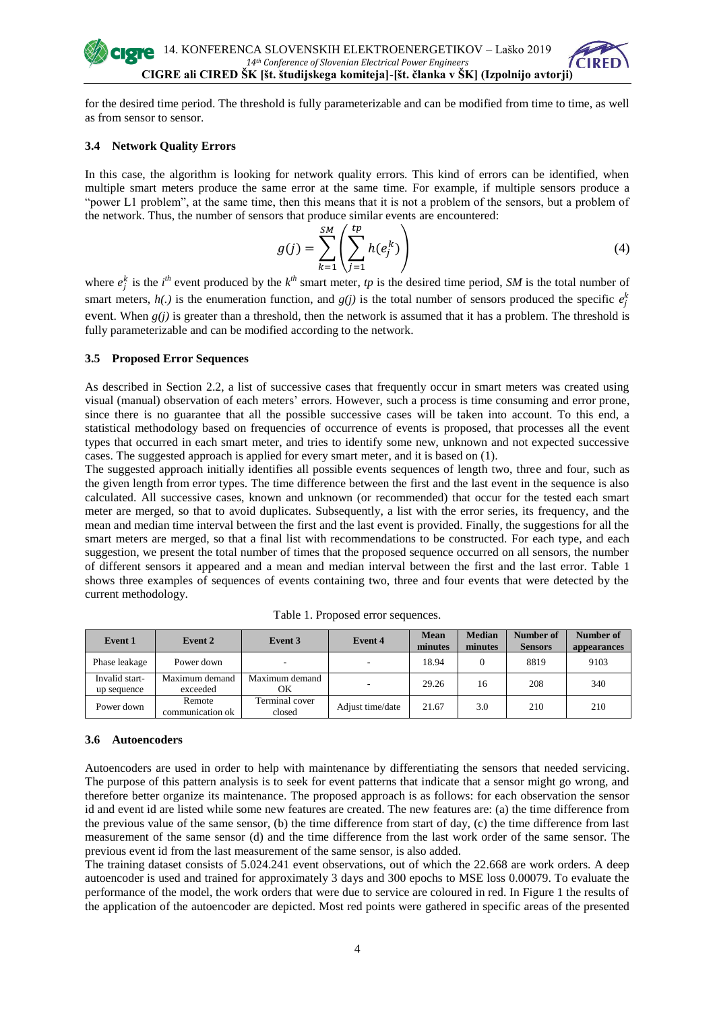

for the desired time period. The threshold is fully parameterizable and can be modified from time to time, as well as from sensor to sensor.

## **3.4 Network Quality Errors**

In this case, the algorithm is looking for network quality errors. This kind of errors can be identified, when multiple smart meters produce the same error at the same time. For example, if multiple sensors produce a "power L1 problem", at the same time, then this means that it is not a problem of the sensors, but a problem of the network. Thus, the number of sensors that produce similar events are encountered:

$$
g(j) = \sum_{k=1}^{SM} \left( \sum_{j=1}^{tp} h(e_j^k) \right) \tag{4}
$$

where  $e_j^k$  is the *i*<sup>th</sup> event produced by the  $k^{th}$  smart meter, *tp* is the desired time period, *SM* is the total number of smart meters,  $h(.)$  is the enumeration function, and  $g(j)$  is the total number of sensors produced the specific  $e_j^k$ event. When *g(j)* is greater than a threshold, then the network is assumed that it has a problem. The threshold is fully parameterizable and can be modified according to the network.

#### **3.5 Proposed Error Sequences**

As described in Section 2.2, a list of successive cases that frequently occur in smart meters was created using visual (manual) observation of each meters' errors. However, such a process is time consuming and error prone, since there is no guarantee that all the possible successive cases will be taken into account. To this end, a statistical methodology based on frequencies of occurrence of events is proposed, that processes all the event types that occurred in each smart meter, and tries to identify some new, unknown and not expected successive cases. The suggested approach is applied for every smart meter, and it is based on (1).

The suggested approach initially identifies all possible events sequences of length two, three and four, such as the given length from error types. The time difference between the first and the last event in the sequence is also calculated. All successive cases, known and unknown (or recommended) that occur for the tested each smart meter are merged, so that to avoid duplicates. Subsequently, a list with the error series, its frequency, and the mean and median time interval between the first and the last event is provided. Finally, the suggestions for all the smart meters are merged, so that a final list with recommendations to be constructed. For each type, and each suggestion, we present the total number of times that the proposed sequence occurred on all sensors, the number of different sensors it appeared and a mean and median interval between the first and the last error. Table 1 shows three examples of sequences of events containing two, three and four events that were detected by the current methodology.

| Event 1                       | Event 2                    | Event 3                  | Event 4          | <b>Mean</b><br>minutes | <b>Median</b><br>minutes | Number of<br><b>Sensors</b> | Number of<br>appearances |
|-------------------------------|----------------------------|--------------------------|------------------|------------------------|--------------------------|-----------------------------|--------------------------|
| Phase leakage                 | Power down                 |                          |                  | 18.94                  | $\Omega$                 | 8819                        | 9103                     |
| Invalid start-<br>up sequence | Maximum demand<br>exceeded | Maximum demand<br>ОK     |                  | 29.26                  | 16                       | 208                         | 340                      |
| Power down                    | Remote<br>communication ok | Terminal cover<br>closed | Adjust time/date | 21.67                  | 3.0                      | 210                         | 210                      |

Table 1. Proposed error sequences.

## **3.6 Autoencoders**

Autoencoders are used in order to help with maintenance by differentiating the sensors that needed servicing. The purpose of this pattern analysis is to seek for event patterns that indicate that a sensor might go wrong, and therefore better organize its maintenance. The proposed approach is as follows: for each observation the sensor id and event id are listed while some new features are created. The new features are: (a) the time difference from the previous value of the same sensor, (b) the time difference from start of day, (c) the time difference from last measurement of the same sensor (d) and the time difference from the last work order of the same sensor. The previous event id from the last measurement of the same sensor, is also added.

The training dataset consists of 5.024.241 event observations, out of which the 22.668 are work orders. A deep autoencoder is used and trained for approximately 3 days and 300 epochs to MSE loss 0.00079. To evaluate the performance of the model, the work orders that were due to service are coloured in red. In Figure 1 the results of the application of the autoencoder are depicted. Most red points were gathered in specific areas of the presented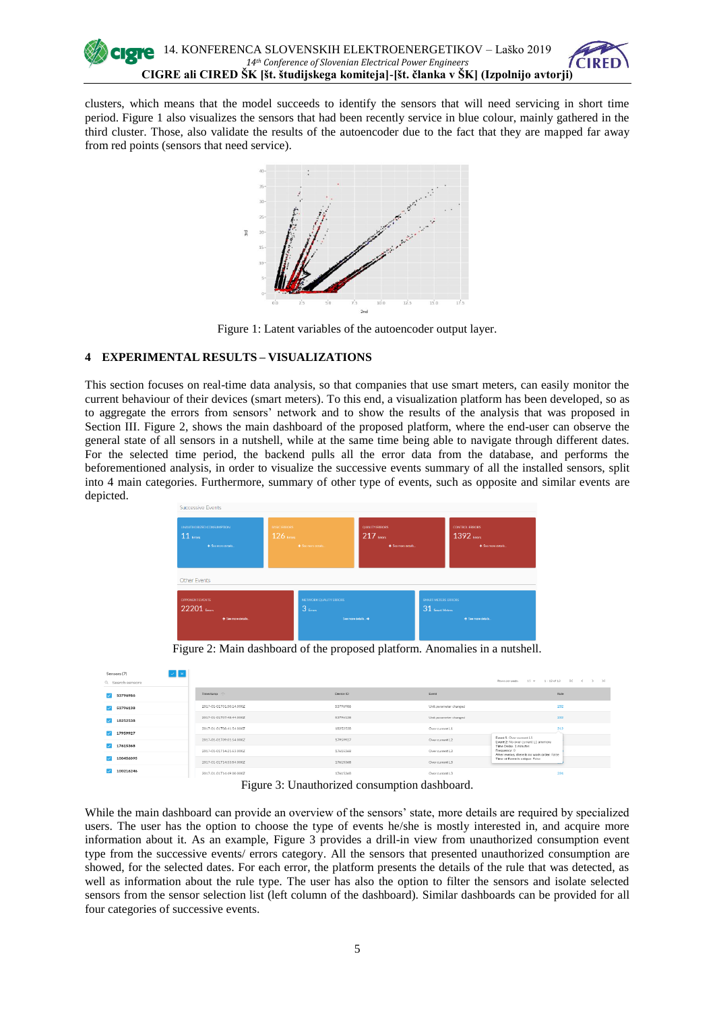

clusters, which means that the model succeeds to identify the sensors that will need servicing in short time period. Figure 1 also visualizes the sensors that had been recently service in blue colour, mainly gathered in the third cluster. Those, also validate the results of the autoencoder due to the fact that they are mapped far away from red points (sensors that need service).



Figure 1: Latent variables of the autoencoder output layer.

## **4 EXPERIMENTAL RESULTS – VISUALIZATIONS**

This section focuses on real-time data analysis, so that companies that use smart meters, can easily monitor the current behaviour of their devices (smart meters). To this end, a visualization platform has been developed, so as to aggregate the errors from sensors' network and to show the results of the analysis that was proposed in Section III. Figure 2, shows the main dashboard of the proposed platform, where the end-user can observe the general state of all sensors in a nutshell, while at the same time being able to navigate through different dates. For the selected time period, the backend pulls all the error data from the database, and performs the beforementioned analysis, in order to visualize the successive events summary of all the installed sensors, split into 4 main categories. Furthermore, summary of other type of events, such as opposite and similar events are depicted.



Figure 2: Main dashboard of the proposed platform. Anomalies in a nutshell.

| Sensors (7)       | $  \vee   \times  $ |                          |                                                                                                                 |                        | Rows per page: 15 = 1-13 of 13   K < > >                                             |  |
|-------------------|---------------------|--------------------------|-----------------------------------------------------------------------------------------------------------------|------------------------|--------------------------------------------------------------------------------------|--|
| Q. Search sensors |                     |                          |                                                                                                                 |                        |                                                                                      |  |
| 7 53796986        |                     | Timestamp 个              | Device ID                                                                                                       | Event                  | Rule                                                                                 |  |
| 53796138          |                     | 2017-01-01T01-50:14.000Z | 53796986                                                                                                        | Unit parameter changed | 232                                                                                  |  |
| 18252538          |                     | 2017-01-01T07:48:44.000Z | 53796138                                                                                                        | Unit parameter changed | 232                                                                                  |  |
| 17959927          |                     | 2017-01-01T08-41:54.000Z | 18252538                                                                                                        | Over current L1        | 212                                                                                  |  |
| 17615368          |                     | 2017-01-01T09.01-54.000Z | 17959927                                                                                                        | Over current 1.2       | Eyent 1: Over current L1<br>Event 2: No over current L1 anymore                      |  |
|                   |                     | 2017-01-01T14:21:53.000Z | 17615368<br>Over current L3                                                                                     |                        | Time Delay: 1 minutes<br>Frequency: 0<br>After events, there is no work order: False |  |
| 100456095         |                     | 2017-01-01T14:33:54.000Z | 17615368                                                                                                        | Over current L3        | Time of Event is unique: False                                                       |  |
| 100216246         |                     | 2017-01-01T14:49:00.000Z | 17615368                                                                                                        | Over current L3        | 224                                                                                  |  |
|                   |                     |                          | the contract of the contract of the contract of the contract of the contract of the contract of the contract of |                        |                                                                                      |  |

Figure 3: Unauthorized consumption dashboard.

While the main dashboard can provide an overview of the sensors' state, more details are required by specialized users. The user has the option to choose the type of events he/she is mostly interested in, and acquire more information about it. As an example, Figure 3 provides a drill-in view from unauthorized consumption event type from the successive events/ errors category. All the sensors that presented unauthorized consumption are showed, for the selected dates. For each error, the platform presents the details of the rule that was detected, as well as information about the rule type. The user has also the option to filter the sensors and isolate selected sensors from the sensor selection list (left column of the dashboard). Similar dashboards can be provided for all four categories of successive events.